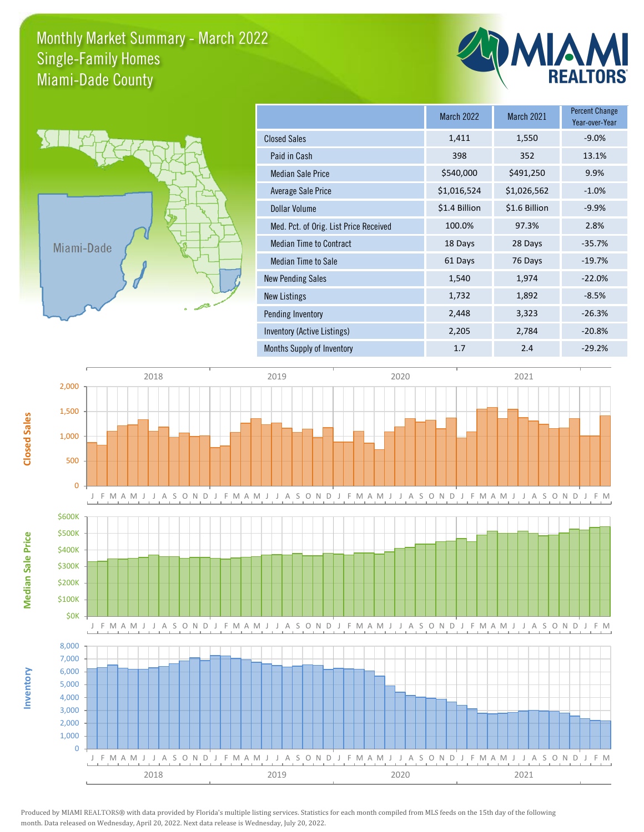## Monthly Market Summary - March 2022 Miami-Dade County Single-Family Homes



**Inventory**

**Median Sale Price**

**Median Sale Price** 

**Closed Sales**

|                                        | <b>March 2022</b> | <b>March 2021</b> | <b>Percent Change</b><br>Year-over-Year |
|----------------------------------------|-------------------|-------------------|-----------------------------------------|
| <b>Closed Sales</b>                    | 1,411             | 1,550             | $-9.0%$                                 |
| Paid in Cash                           | 398               | 352               | 13.1%                                   |
| <b>Median Sale Price</b>               | \$540,000         | \$491,250         | 9.9%                                    |
| Average Sale Price                     | \$1,016,524       | \$1,026,562       | $-1.0%$                                 |
| <b>Dollar Volume</b>                   | \$1.4 Billion     | \$1.6 Billion     | $-9.9%$                                 |
| Med. Pct. of Orig. List Price Received | 100.0%            | 97.3%             | 2.8%                                    |
| <b>Median Time to Contract</b>         | 18 Days           | 28 Days           | $-35.7%$                                |
| Median Time to Sale                    | 61 Days           | 76 Days           | $-19.7%$                                |
| <b>New Pending Sales</b>               | 1,540             | 1,974             | $-22.0%$                                |
| New Listings                           | 1,732             | 1,892             | $-8.5%$                                 |
| Pending Inventory                      | 2,448             | 3,323             | $-26.3%$                                |
| Inventory (Active Listings)            | 2,205             | 2,784             | $-20.8%$                                |
| Months Supply of Inventory             | 1.7               | 2.4               | $-29.2%$                                |



Produced by MIAMI REALTORS® with data provided by Florida's multiple listing services. Statistics for each month compiled from MLS feeds on the 15th day of the following month. Data released on Wednesday, April 20, 2022. Next data release is Wednesday, July 20, 2022.